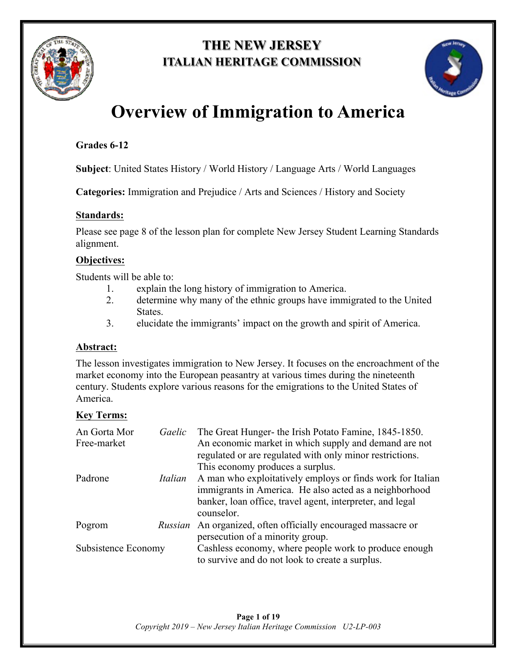

# **THE NEW JERSEY ITALIAN HERITAGE COMMISSION**



# **Overview of Immigration to America**

## **Grades 6-12**

**Subject**: United States History / World History / Language Arts / World Languages

**Categories:** Immigration and Prejudice / Arts and Sciences / History and Society

### **Standards:**

Please see page 8 of the lesson plan for complete New Jersey Student Learning Standards alignment.

## **Objectives:**

Students will be able to:

- 1. explain the long history of immigration to America.
- 2. determine why many of the ethnic groups have immigrated to the United States.
- 3. elucidate the immigrants' impact on the growth and spirit of America.

## **Abstract:**

The lesson investigates immigration to New Jersey. It focuses on the encroachment of the market economy into the European peasantry at various times during the nineteenth century. Students explore various reasons for the emigrations to the United States of America.

## **Key Terms:**

| An Gorta Mor<br>Free-market | Gaelic  | The Great Hunger- the Irish Potato Famine, 1845-1850.<br>An economic market in which supply and demand are not<br>regulated or are regulated with only minor restrictions.<br>This economy produces a surplus. |
|-----------------------------|---------|----------------------------------------------------------------------------------------------------------------------------------------------------------------------------------------------------------------|
| Padrone                     | Italian | A man who exploitatively employs or finds work for Italian<br>immigrants in America. He also acted as a neighborhood<br>banker, loan office, travel agent, interpreter, and legal<br>counselor.                |
| Pogrom                      | Russian | An organized, often officially encouraged massacre or<br>persecution of a minority group.                                                                                                                      |
| Subsistence Economy         |         | Cashless economy, where people work to produce enough<br>to survive and do not look to create a surplus.                                                                                                       |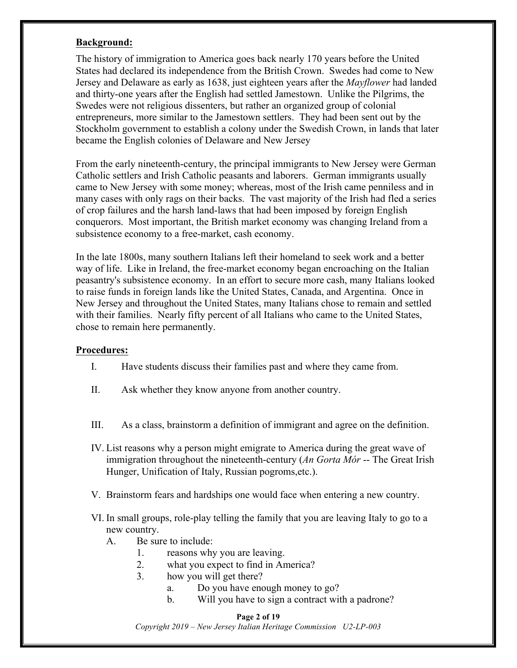#### **Background:**

The history of immigration to America goes back nearly 170 years before the United States had declared its independence from the British Crown. Swedes had come to New Jersey and Delaware as early as 1638, just eighteen years after the *Mayflower* had landed and thirty-one years after the English had settled Jamestown. Unlike the Pilgrims, the Swedes were not religious dissenters, but rather an organized group of colonial entrepreneurs, more similar to the Jamestown settlers. They had been sent out by the Stockholm government to establish a colony under the Swedish Crown, in lands that later became the English colonies of Delaware and New Jersey

From the early nineteenth-century, the principal immigrants to New Jersey were German Catholic settlers and Irish Catholic peasants and laborers. German immigrants usually came to New Jersey with some money; whereas, most of the Irish came penniless and in many cases with only rags on their backs. The vast majority of the Irish had fled a series of crop failures and the harsh land-laws that had been imposed by foreign English conquerors. Most important, the British market economy was changing Ireland from a subsistence economy to a free-market, cash economy.

In the late 1800s, many southern Italians left their homeland to seek work and a better way of life. Like in Ireland, the free-market economy began encroaching on the Italian peasantry's subsistence economy. In an effort to secure more cash, many Italians looked to raise funds in foreign lands like the United States, Canada, and Argentina. Once in New Jersey and throughout the United States, many Italians chose to remain and settled with their families. Nearly fifty percent of all Italians who came to the United States, chose to remain here permanently.

#### **Procedures:**

- I. Have students discuss their families past and where they came from.
- II. Ask whether they know anyone from another country.
- III. As a class, brainstorm a definition of immigrant and agree on the definition.
- IV. List reasons why a person might emigrate to America during the great wave of immigration throughout the nineteenth-century (*An Gorta Mór* -- The Great Irish Hunger, Unification of Italy, Russian pogroms,etc.).
- V. Brainstorm fears and hardships one would face when entering a new country.
- VI. In small groups, role-play telling the family that you are leaving Italy to go to a new country.
	- A. Be sure to include:
		- 1. reasons why you are leaving.
		- 2. what you expect to find in America?
		- 3. how you will get there?
			- a. Do you have enough money to go?
			- b. Will you have to sign a contract with a padrone?

#### **Page 2 of 19**

*Copyright 2019 – New Jersey Italian Heritage Commission U2-LP-003*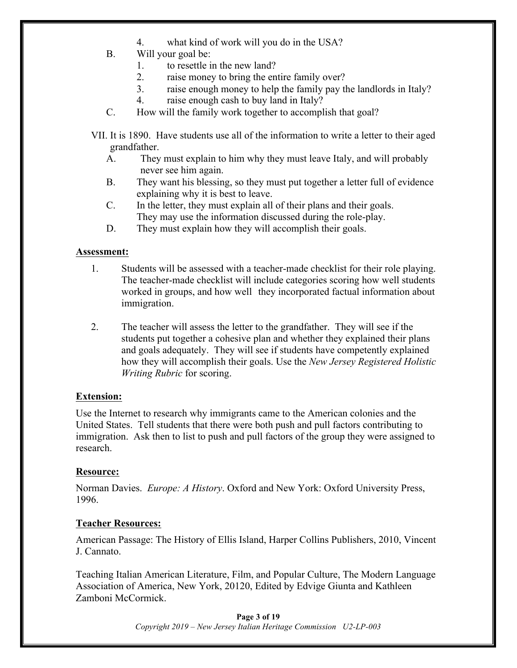- 4. what kind of work will you do in the USA?
- B. Will your goal be:
	- 1. to resettle in the new land?
	- 2. raise money to bring the entire family over?
	- 3. raise enough money to help the family pay the landlords in Italy?
	- 4. raise enough cash to buy land in Italy?
- C. How will the family work together to accomplish that goal?
- VII. It is 1890. Have students use all of the information to write a letter to their aged grandfather.
	- A. They must explain to him why they must leave Italy, and will probably never see him again.
	- B. They want his blessing, so they must put together a letter full of evidence explaining why it is best to leave.
	- C. In the letter, they must explain all of their plans and their goals. They may use the information discussed during the role-play.
	- D. They must explain how they will accomplish their goals.

#### **Assessment:**

- 1. Students will be assessed with a teacher-made checklist for their role playing. The teacher-made checklist will include categories scoring how well students worked in groups, and how well they incorporated factual information about immigration.
- 2. The teacher will assess the letter to the grandfather. They will see if the students put together a cohesive plan and whether they explained their plans and goals adequately. They will see if students have competently explained how they will accomplish their goals. Use the *New Jersey Registered Holistic Writing Rubric* for scoring.

#### **Extension:**

Use the Internet to research why immigrants came to the American colonies and the United States. Tell students that there were both push and pull factors contributing to immigration. Ask then to list to push and pull factors of the group they were assigned to research.

#### **Resource:**

Norman Davies. *Europe: A History*. Oxford and New York: Oxford University Press, 1996.

#### **Teacher Resources:**

American Passage: The History of Ellis Island, Harper Collins Publishers, 2010, Vincent J. Cannato.

Teaching Italian American Literature, Film, and Popular Culture, The Modern Language Association of America, New York, 20120, Edited by Edvige Giunta and Kathleen Zamboni McCormick.

> **Page 3 of 19** *Copyright 2019 – New Jersey Italian Heritage Commission U2-LP-003*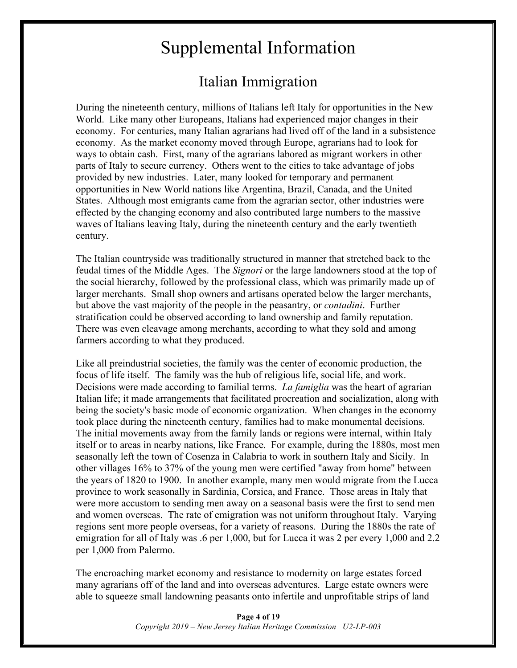# Supplemental Information

# Italian Immigration

During the nineteenth century, millions of Italians left Italy for opportunities in the New World. Like many other Europeans, Italians had experienced major changes in their economy. For centuries, many Italian agrarians had lived off of the land in a subsistence economy. As the market economy moved through Europe, agrarians had to look for ways to obtain cash. First, many of the agrarians labored as migrant workers in other parts of Italy to secure currency. Others went to the cities to take advantage of jobs provided by new industries. Later, many looked for temporary and permanent opportunities in New World nations like Argentina, Brazil, Canada, and the United States. Although most emigrants came from the agrarian sector, other industries were effected by the changing economy and also contributed large numbers to the massive waves of Italians leaving Italy, during the nineteenth century and the early twentieth century.

The Italian countryside was traditionally structured in manner that stretched back to the feudal times of the Middle Ages. The *Signori* or the large landowners stood at the top of the social hierarchy, followed by the professional class, which was primarily made up of larger merchants. Small shop owners and artisans operated below the larger merchants, but above the vast majority of the people in the peasantry, or *contadini*. Further stratification could be observed according to land ownership and family reputation. There was even cleavage among merchants, according to what they sold and among farmers according to what they produced.

Like all preindustrial societies, the family was the center of economic production, the focus of life itself. The family was the hub of religious life, social life, and work. Decisions were made according to familial terms. *La famiglia* was the heart of agrarian Italian life; it made arrangements that facilitated procreation and socialization, along with being the society's basic mode of economic organization. When changes in the economy took place during the nineteenth century, families had to make monumental decisions. The initial movements away from the family lands or regions were internal, within Italy itself or to areas in nearby nations, like France. For example, during the 1880s, most men seasonally left the town of Cosenza in Calabria to work in southern Italy and Sicily. In other villages 16% to 37% of the young men were certified "away from home" between the years of 1820 to 1900. In another example, many men would migrate from the Lucca province to work seasonally in Sardinia, Corsica, and France. Those areas in Italy that were more accustom to sending men away on a seasonal basis were the first to send men and women overseas. The rate of emigration was not uniform throughout Italy. Varying regions sent more people overseas, for a variety of reasons. During the 1880s the rate of emigration for all of Italy was .6 per 1,000, but for Lucca it was 2 per every 1,000 and 2.2 per 1,000 from Palermo.

The encroaching market economy and resistance to modernity on large estates forced many agrarians off of the land and into overseas adventures. Large estate owners were able to squeeze small landowning peasants onto infertile and unprofitable strips of land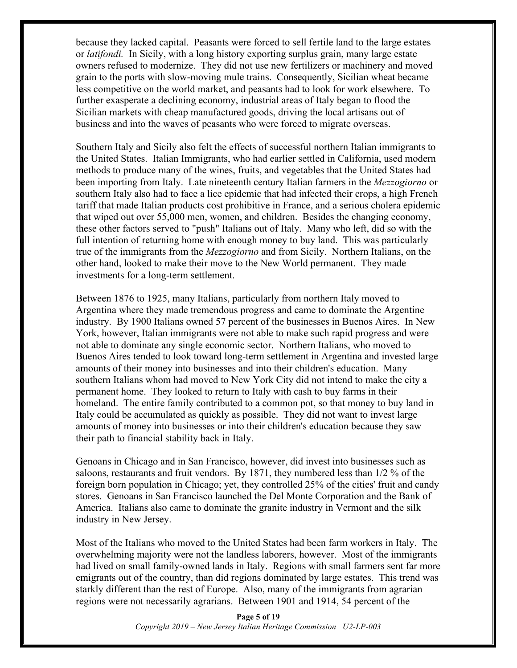because they lacked capital. Peasants were forced to sell fertile land to the large estates or *latifondi.* In Sicily, with a long history exporting surplus grain, many large estate owners refused to modernize. They did not use new fertilizers or machinery and moved grain to the ports with slow-moving mule trains. Consequently, Sicilian wheat became less competitive on the world market, and peasants had to look for work elsewhere. To further exasperate a declining economy, industrial areas of Italy began to flood the Sicilian markets with cheap manufactured goods, driving the local artisans out of business and into the waves of peasants who were forced to migrate overseas.

Southern Italy and Sicily also felt the effects of successful northern Italian immigrants to the United States. Italian Immigrants, who had earlier settled in California, used modern methods to produce many of the wines, fruits, and vegetables that the United States had been importing from Italy. Late nineteenth century Italian farmers in the *Mezzogiorno* or southern Italy also had to face a lice epidemic that had infected their crops, a high French tariff that made Italian products cost prohibitive in France, and a serious cholera epidemic that wiped out over 55,000 men, women, and children. Besides the changing economy, these other factors served to "push" Italians out of Italy. Many who left, did so with the full intention of returning home with enough money to buy land. This was particularly true of the immigrants from the *Mezzogiorno* and from Sicily. Northern Italians, on the other hand, looked to make their move to the New World permanent. They made investments for a long-term settlement.

Between 1876 to 1925, many Italians, particularly from northern Italy moved to Argentina where they made tremendous progress and came to dominate the Argentine industry. By 1900 Italians owned 57 percent of the businesses in Buenos Aires. In New York, however, Italian immigrants were not able to make such rapid progress and were not able to dominate any single economic sector. Northern Italians, who moved to Buenos Aires tended to look toward long-term settlement in Argentina and invested large amounts of their money into businesses and into their children's education. Many southern Italians whom had moved to New York City did not intend to make the city a permanent home. They looked to return to Italy with cash to buy farms in their homeland. The entire family contributed to a common pot, so that money to buy land in Italy could be accumulated as quickly as possible. They did not want to invest large amounts of money into businesses or into their children's education because they saw their path to financial stability back in Italy.

Genoans in Chicago and in San Francisco, however, did invest into businesses such as saloons, restaurants and fruit vendors. By 1871, they numbered less than 1/2 % of the foreign born population in Chicago; yet, they controlled 25% of the cities' fruit and candy stores. Genoans in San Francisco launched the Del Monte Corporation and the Bank of America. Italians also came to dominate the granite industry in Vermont and the silk industry in New Jersey.

Most of the Italians who moved to the United States had been farm workers in Italy. The overwhelming majority were not the landless laborers, however. Most of the immigrants had lived on small family-owned lands in Italy. Regions with small farmers sent far more emigrants out of the country, than did regions dominated by large estates. This trend was starkly different than the rest of Europe. Also, many of the immigrants from agrarian regions were not necessarily agrarians. Between 1901 and 1914, 54 percent of the

> **Page 5 of 19** *Copyright 2019 – New Jersey Italian Heritage Commission U2-LP-003*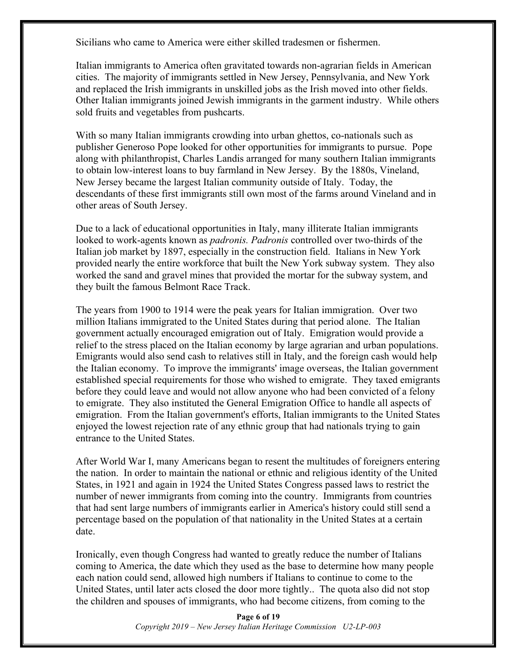Sicilians who came to America were either skilled tradesmen or fishermen.

Italian immigrants to America often gravitated towards non-agrarian fields in American cities. The majority of immigrants settled in New Jersey, Pennsylvania, and New York and replaced the Irish immigrants in unskilled jobs as the Irish moved into other fields. Other Italian immigrants joined Jewish immigrants in the garment industry. While others sold fruits and vegetables from pushcarts.

With so many Italian immigrants crowding into urban ghettos, co-nationals such as publisher Generoso Pope looked for other opportunities for immigrants to pursue. Pope along with philanthropist, Charles Landis arranged for many southern Italian immigrants to obtain low-interest loans to buy farmland in New Jersey. By the 1880s, Vineland, New Jersey became the largest Italian community outside of Italy. Today, the descendants of these first immigrants still own most of the farms around Vineland and in other areas of South Jersey.

Due to a lack of educational opportunities in Italy, many illiterate Italian immigrants looked to work-agents known as *padronis. Padronis* controlled over two-thirds of the Italian job market by 1897, especially in the construction field. Italians in New York provided nearly the entire workforce that built the New York subway system. They also worked the sand and gravel mines that provided the mortar for the subway system, and they built the famous Belmont Race Track.

The years from 1900 to 1914 were the peak years for Italian immigration. Over two million Italians immigrated to the United States during that period alone. The Italian government actually encouraged emigration out of Italy. Emigration would provide a relief to the stress placed on the Italian economy by large agrarian and urban populations. Emigrants would also send cash to relatives still in Italy, and the foreign cash would help the Italian economy. To improve the immigrants' image overseas, the Italian government established special requirements for those who wished to emigrate. They taxed emigrants before they could leave and would not allow anyone who had been convicted of a felony to emigrate. They also instituted the General Emigration Office to handle all aspects of emigration. From the Italian government's efforts, Italian immigrants to the United States enjoyed the lowest rejection rate of any ethnic group that had nationals trying to gain entrance to the United States.

After World War I, many Americans began to resent the multitudes of foreigners entering the nation. In order to maintain the national or ethnic and religious identity of the United States, in 1921 and again in 1924 the United States Congress passed laws to restrict the number of newer immigrants from coming into the country. Immigrants from countries that had sent large numbers of immigrants earlier in America's history could still send a percentage based on the population of that nationality in the United States at a certain date.

Ironically, even though Congress had wanted to greatly reduce the number of Italians coming to America, the date which they used as the base to determine how many people each nation could send, allowed high numbers if Italians to continue to come to the United States, until later acts closed the door more tightly.. The quota also did not stop the children and spouses of immigrants, who had become citizens, from coming to the

> **Page 6 of 19** *Copyright 2019 – New Jersey Italian Heritage Commission U2-LP-003*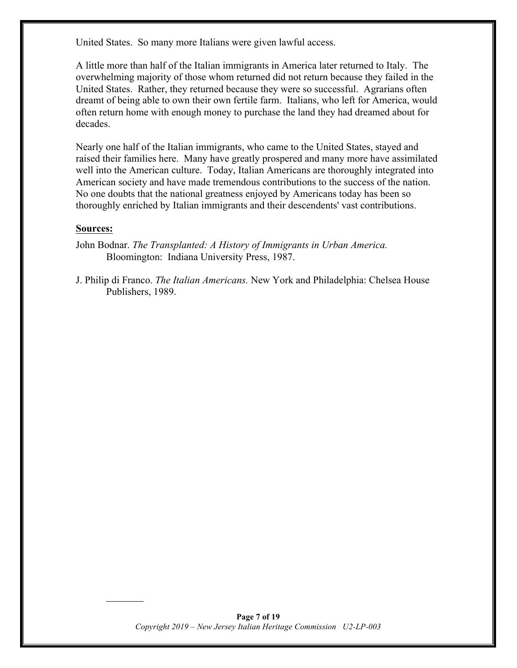United States. So many more Italians were given lawful access.

A little more than half of the Italian immigrants in America later returned to Italy. The overwhelming majority of those whom returned did not return because they failed in the United States. Rather, they returned because they were so successful. Agrarians often dreamt of being able to own their own fertile farm. Italians, who left for America, would often return home with enough money to purchase the land they had dreamed about for decades.

Nearly one half of the Italian immigrants, who came to the United States, stayed and raised their families here. Many have greatly prospered and many more have assimilated well into the American culture. Today, Italian Americans are thoroughly integrated into American society and have made tremendous contributions to the success of the nation. No one doubts that the national greatness enjoyed by Americans today has been so thoroughly enriched by Italian immigrants and their descendents' vast contributions.

#### **Sources:**

John Bodnar. *The Transplanted: A History of Immigrants in Urban America.*  Bloomington: Indiana University Press, 1987.

J. Philip di Franco. *The Italian Americans.* New York and Philadelphia: Chelsea House Publishers, 1989.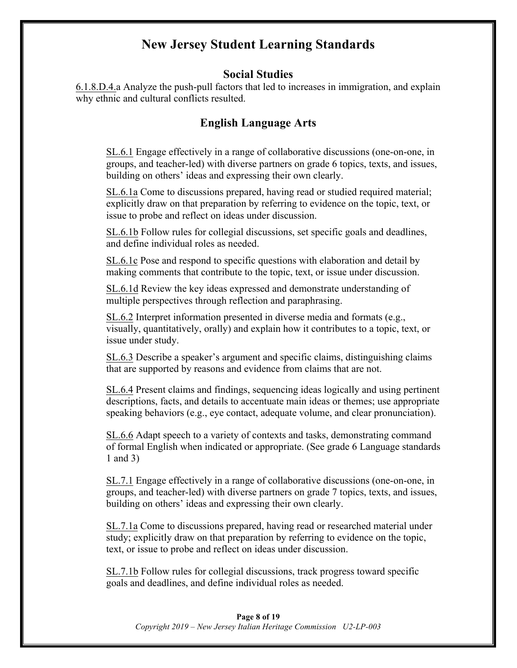## **New Jersey Student Learning Standards**

### **Social Studies**

6.1.8.D.4.a Analyze the push-pull factors that led to increases in immigration, and explain why ethnic and cultural conflicts resulted.

## **English Language Arts**

SL.6.1 Engage effectively in a range of collaborative discussions (one-on-one, in groups, and teacher-led) with diverse partners on grade 6 topics, texts, and issues, building on others' ideas and expressing their own clearly.

SL.6.1a Come to discussions prepared, having read or studied required material; explicitly draw on that preparation by referring to evidence on the topic, text, or issue to probe and reflect on ideas under discussion.

SL.6.1b Follow rules for collegial discussions, set specific goals and deadlines, and define individual roles as needed.

SL.6.1c Pose and respond to specific questions with elaboration and detail by making comments that contribute to the topic, text, or issue under discussion.

SL.6.1d Review the key ideas expressed and demonstrate understanding of multiple perspectives through reflection and paraphrasing.

SL.6.2 Interpret information presented in diverse media and formats (e.g., visually, quantitatively, orally) and explain how it contributes to a topic, text, or issue under study.

SL.6.3 Describe a speaker's argument and specific claims, distinguishing claims that are supported by reasons and evidence from claims that are not.

SL.6.4 Present claims and findings, sequencing ideas logically and using pertinent descriptions, facts, and details to accentuate main ideas or themes; use appropriate speaking behaviors (e.g., eye contact, adequate volume, and clear pronunciation).

SL.6.6 Adapt speech to a variety of contexts and tasks, demonstrating command of formal English when indicated or appropriate. (See grade 6 Language standards 1 and 3)

SL.7.1 Engage effectively in a range of collaborative discussions (one-on-one, in groups, and teacher-led) with diverse partners on grade 7 topics, texts, and issues, building on others' ideas and expressing their own clearly.

SL.7.1a Come to discussions prepared, having read or researched material under study; explicitly draw on that preparation by referring to evidence on the topic, text, or issue to probe and reflect on ideas under discussion.

SL.7.1b Follow rules for collegial discussions, track progress toward specific goals and deadlines, and define individual roles as needed.

#### **Page 8 of 19** *Copyright 2019 – New Jersey Italian Heritage Commission U2-LP-003*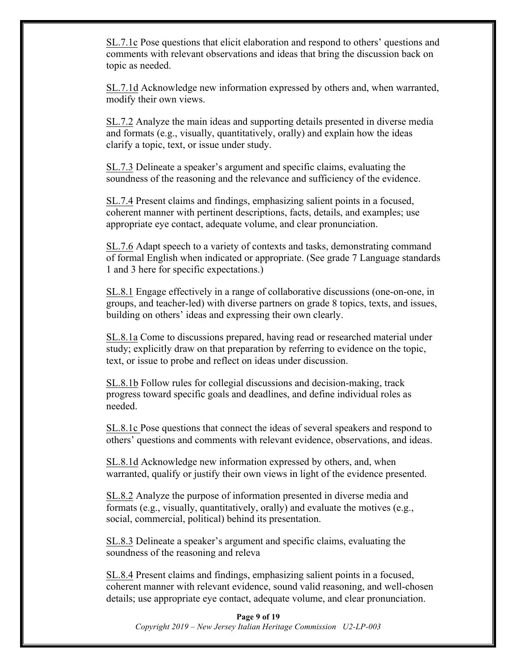SL.7.1c Pose questions that elicit elaboration and respond to others' questions and comments with relevant observations and ideas that bring the discussion back on topic as needed.

SL.7.1d Acknowledge new information expressed by others and, when warranted, modify their own views.

SL.7.2 Analyze the main ideas and supporting details presented in diverse media and formats (e.g., visually, quantitatively, orally) and explain how the ideas clarify a topic, text, or issue under study.

SL.7.3 Delineate a speaker's argument and specific claims, evaluating the soundness of the reasoning and the relevance and sufficiency of the evidence.

SL.7.4 Present claims and findings, emphasizing salient points in a focused, coherent manner with pertinent descriptions, facts, details, and examples; use appropriate eye contact, adequate volume, and clear pronunciation.

SL.7.6 Adapt speech to a variety of contexts and tasks, demonstrating command of formal English when indicated or appropriate. (See grade 7 Language standards 1 and 3 here for specific expectations.)

SL.8.1 Engage effectively in a range of collaborative discussions (one-on-one, in groups, and teacher-led) with diverse partners on grade 8 topics, texts, and issues, building on others' ideas and expressing their own clearly.

SL.8.1a Come to discussions prepared, having read or researched material under study; explicitly draw on that preparation by referring to evidence on the topic, text, or issue to probe and reflect on ideas under discussion.

SL.8.1b Follow rules for collegial discussions and decision-making, track progress toward specific goals and deadlines, and define individual roles as needed.

SL.8.1c Pose questions that connect the ideas of several speakers and respond to others' questions and comments with relevant evidence, observations, and ideas.

SL.8.1d Acknowledge new information expressed by others, and, when warranted, qualify or justify their own views in light of the evidence presented.

SL.8.2 Analyze the purpose of information presented in diverse media and formats (e.g., visually, quantitatively, orally) and evaluate the motives (e.g., social, commercial, political) behind its presentation.

SL.8.3 Delineate a speaker's argument and specific claims, evaluating the soundness of the reasoning and releva

SL.8.4 Present claims and findings, emphasizing salient points in a focused, coherent manner with relevant evidence, sound valid reasoning, and well-chosen details; use appropriate eye contact, adequate volume, and clear pronunciation.

**Page 9 of 19** *Copyright 2019 – New Jersey Italian Heritage Commission U2-LP-003*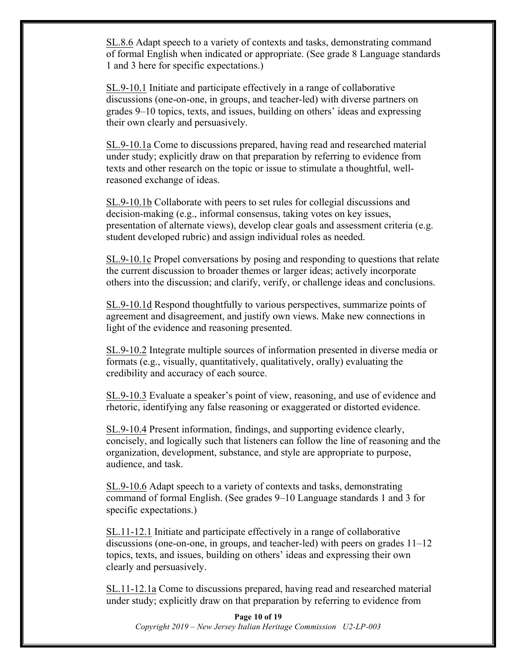SL.8.6 Adapt speech to a variety of contexts and tasks, demonstrating command of formal English when indicated or appropriate. (See grade 8 Language standards 1 and 3 here for specific expectations.)

SL.9-10.1 Initiate and participate effectively in a range of collaborative discussions (one-on-one, in groups, and teacher-led) with diverse partners on grades 9–10 topics, texts, and issues, building on others' ideas and expressing their own clearly and persuasively.

SL.9-10.1a Come to discussions prepared, having read and researched material under study; explicitly draw on that preparation by referring to evidence from texts and other research on the topic or issue to stimulate a thoughtful, wellreasoned exchange of ideas.

SL.9-10.1b Collaborate with peers to set rules for collegial discussions and decision-making (e.g., informal consensus, taking votes on key issues, presentation of alternate views), develop clear goals and assessment criteria (e.g. student developed rubric) and assign individual roles as needed.

SL.9-10.1c Propel conversations by posing and responding to questions that relate the current discussion to broader themes or larger ideas; actively incorporate others into the discussion; and clarify, verify, or challenge ideas and conclusions.

SL.9-10.1d Respond thoughtfully to various perspectives, summarize points of agreement and disagreement, and justify own views. Make new connections in light of the evidence and reasoning presented.

SL.9-10.2 Integrate multiple sources of information presented in diverse media or formats (e.g., visually, quantitatively, qualitatively, orally) evaluating the credibility and accuracy of each source.

SL.9-10.3 Evaluate a speaker's point of view, reasoning, and use of evidence and rhetoric, identifying any false reasoning or exaggerated or distorted evidence.

SL.9-10.4 Present information, findings, and supporting evidence clearly, concisely, and logically such that listeners can follow the line of reasoning and the organization, development, substance, and style are appropriate to purpose, audience, and task.

SL.9-10.6 Adapt speech to a variety of contexts and tasks, demonstrating command of formal English. (See grades 9–10 Language standards 1 and 3 for specific expectations.)

SL.11-12.1 Initiate and participate effectively in a range of collaborative discussions (one-on-one, in groups, and teacher-led) with peers on grades  $11-12$ topics, texts, and issues, building on others' ideas and expressing their own clearly and persuasively.

SL.11-12.1a Come to discussions prepared, having read and researched material under study; explicitly draw on that preparation by referring to evidence from

**Page 10 of 19** *Copyright 2019 – New Jersey Italian Heritage Commission U2-LP-003*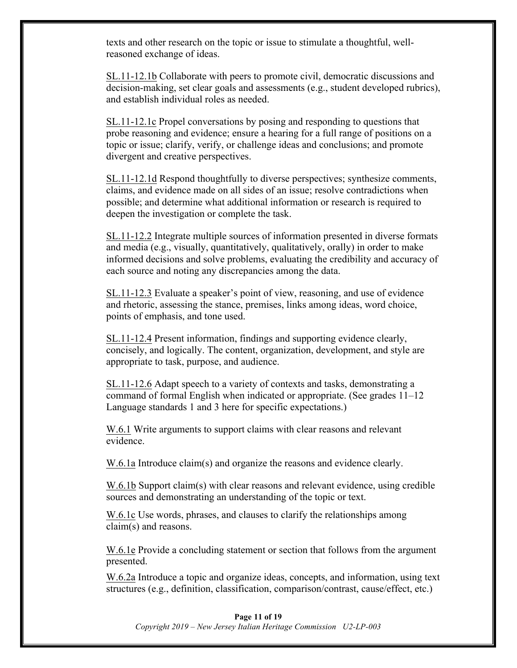texts and other research on the topic or issue to stimulate a thoughtful, wellreasoned exchange of ideas.

SL.11-12.1b Collaborate with peers to promote civil, democratic discussions and decision-making, set clear goals and assessments (e.g., student developed rubrics), and establish individual roles as needed.

SL.11-12.1c Propel conversations by posing and responding to questions that probe reasoning and evidence; ensure a hearing for a full range of positions on a topic or issue; clarify, verify, or challenge ideas and conclusions; and promote divergent and creative perspectives.

SL.11-12.1d Respond thoughtfully to diverse perspectives; synthesize comments, claims, and evidence made on all sides of an issue; resolve contradictions when possible; and determine what additional information or research is required to deepen the investigation or complete the task.

SL.11-12.2 Integrate multiple sources of information presented in diverse formats and media (e.g., visually, quantitatively, qualitatively, orally) in order to make informed decisions and solve problems, evaluating the credibility and accuracy of each source and noting any discrepancies among the data.

SL.11-12.3 Evaluate a speaker's point of view, reasoning, and use of evidence and rhetoric, assessing the stance, premises, links among ideas, word choice, points of emphasis, and tone used.

SL.11-12.4 Present information, findings and supporting evidence clearly, concisely, and logically. The content, organization, development, and style are appropriate to task, purpose, and audience.

SL.11-12.6 Adapt speech to a variety of contexts and tasks, demonstrating a command of formal English when indicated or appropriate. (See grades 11–12 Language standards 1 and 3 here for specific expectations.)

W.6.1 Write arguments to support claims with clear reasons and relevant evidence.

W.6.1a Introduce claim(s) and organize the reasons and evidence clearly.

W.6.1b Support claim(s) with clear reasons and relevant evidence, using credible sources and demonstrating an understanding of the topic or text.

W.6.1c Use words, phrases, and clauses to clarify the relationships among claim(s) and reasons.

W.6.1e Provide a concluding statement or section that follows from the argument presented.

W.6.2a Introduce a topic and organize ideas, concepts, and information, using text structures (e.g., definition, classification, comparison/contrast, cause/effect, etc.)

#### **Page 11 of 19**

*Copyright 2019 – New Jersey Italian Heritage Commission U2-LP-003*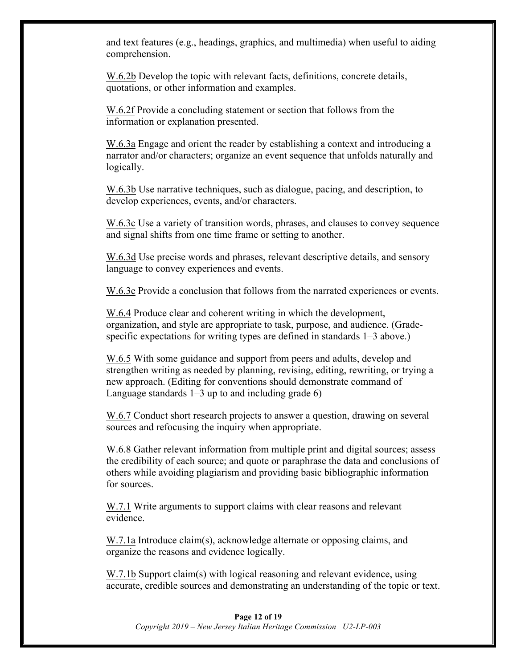and text features (e.g., headings, graphics, and multimedia) when useful to aiding comprehension.

W.6.2b Develop the topic with relevant facts, definitions, concrete details, quotations, or other information and examples.

W.6.2f Provide a concluding statement or section that follows from the information or explanation presented.

W.6.3a Engage and orient the reader by establishing a context and introducing a narrator and/or characters; organize an event sequence that unfolds naturally and logically.

W.6.3b Use narrative techniques, such as dialogue, pacing, and description, to develop experiences, events, and/or characters.

W.6.3c Use a variety of transition words, phrases, and clauses to convey sequence and signal shifts from one time frame or setting to another.

W.6.3d Use precise words and phrases, relevant descriptive details, and sensory language to convey experiences and events.

W.6.3e Provide a conclusion that follows from the narrated experiences or events.

W.6.4 Produce clear and coherent writing in which the development, organization, and style are appropriate to task, purpose, and audience. (Gradespecific expectations for writing types are defined in standards 1–3 above.)

W.6.5 With some guidance and support from peers and adults, develop and strengthen writing as needed by planning, revising, editing, rewriting, or trying a new approach. (Editing for conventions should demonstrate command of Language standards  $1-3$  up to and including grade 6)

W.6.7 Conduct short research projects to answer a question, drawing on several sources and refocusing the inquiry when appropriate.

W.6.8 Gather relevant information from multiple print and digital sources; assess the credibility of each source; and quote or paraphrase the data and conclusions of others while avoiding plagiarism and providing basic bibliographic information for sources.

W.7.1 Write arguments to support claims with clear reasons and relevant evidence.

W.7.1a Introduce claim(s), acknowledge alternate or opposing claims, and organize the reasons and evidence logically.

W.7.1b Support claim(s) with logical reasoning and relevant evidence, using accurate, credible sources and demonstrating an understanding of the topic or text.

#### **Page 12 of 19** *Copyright 2019 – New Jersey Italian Heritage Commission U2-LP-003*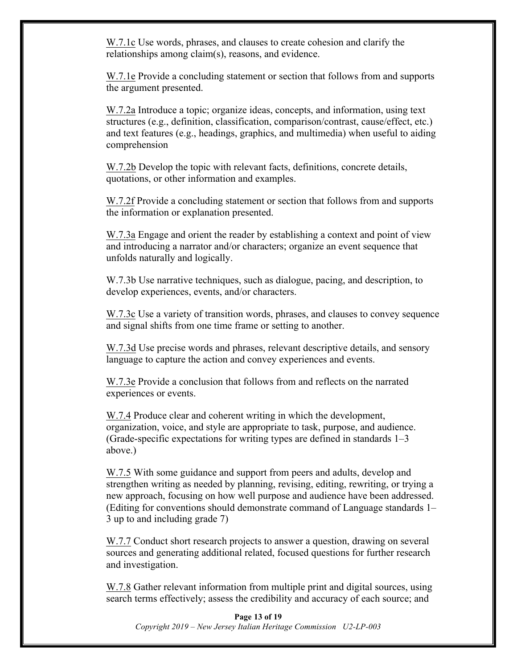W.7.1c Use words, phrases, and clauses to create cohesion and clarify the relationships among claim(s), reasons, and evidence.

W.7.1e Provide a concluding statement or section that follows from and supports the argument presented.

W.7.2a Introduce a topic; organize ideas, concepts, and information, using text structures (e.g., definition, classification, comparison/contrast, cause/effect, etc.) and text features (e.g., headings, graphics, and multimedia) when useful to aiding comprehension

W.7.2b Develop the topic with relevant facts, definitions, concrete details, quotations, or other information and examples.

W.7.2f Provide a concluding statement or section that follows from and supports the information or explanation presented.

W.7.3a Engage and orient the reader by establishing a context and point of view and introducing a narrator and/or characters; organize an event sequence that unfolds naturally and logically.

W.7.3b Use narrative techniques, such as dialogue, pacing, and description, to develop experiences, events, and/or characters.

W.7.3c Use a variety of transition words, phrases, and clauses to convey sequence and signal shifts from one time frame or setting to another.

W.7.3d Use precise words and phrases, relevant descriptive details, and sensory language to capture the action and convey experiences and events.

W.7.3e Provide a conclusion that follows from and reflects on the narrated experiences or events.

W.7.4 Produce clear and coherent writing in which the development, organization, voice, and style are appropriate to task, purpose, and audience. (Grade-specific expectations for writing types are defined in standards 1–3 above.)

W.7.5 With some guidance and support from peers and adults, develop and strengthen writing as needed by planning, revising, editing, rewriting, or trying a new approach, focusing on how well purpose and audience have been addressed. (Editing for conventions should demonstrate command of Language standards 1– 3 up to and including grade 7)

W.7.7 Conduct short research projects to answer a question, drawing on several sources and generating additional related, focused questions for further research and investigation.

W.7.8 Gather relevant information from multiple print and digital sources, using search terms effectively; assess the credibility and accuracy of each source; and

**Page 13 of 19** *Copyright 2019 – New Jersey Italian Heritage Commission U2-LP-003*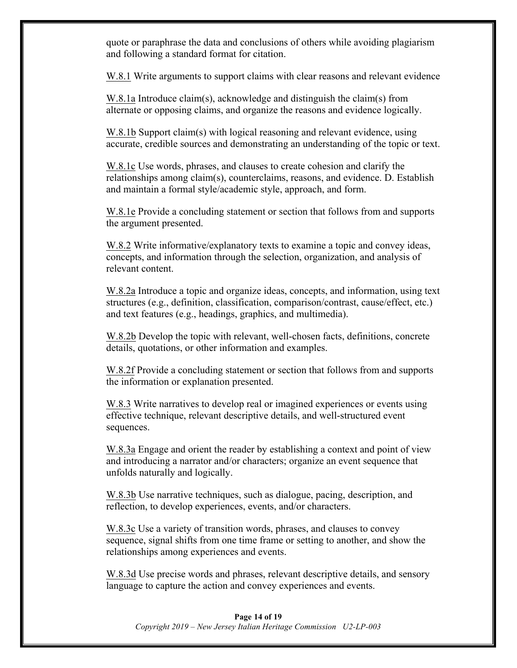quote or paraphrase the data and conclusions of others while avoiding plagiarism and following a standard format for citation.

W.8.1 Write arguments to support claims with clear reasons and relevant evidence

W.8.1a Introduce claim(s), acknowledge and distinguish the claim(s) from alternate or opposing claims, and organize the reasons and evidence logically.

W.8.1b Support claim(s) with logical reasoning and relevant evidence, using accurate, credible sources and demonstrating an understanding of the topic or text.

W.8.1c Use words, phrases, and clauses to create cohesion and clarify the relationships among claim(s), counterclaims, reasons, and evidence. D. Establish and maintain a formal style/academic style, approach, and form.

W.8.1e Provide a concluding statement or section that follows from and supports the argument presented.

W.8.2 Write informative/explanatory texts to examine a topic and convey ideas, concepts, and information through the selection, organization, and analysis of relevant content.

W.8.2a Introduce a topic and organize ideas, concepts, and information, using text structures (e.g., definition, classification, comparison/contrast, cause/effect, etc.) and text features (e.g., headings, graphics, and multimedia).

W.8.2b Develop the topic with relevant, well-chosen facts, definitions, concrete details, quotations, or other information and examples.

W.8.2f Provide a concluding statement or section that follows from and supports the information or explanation presented.

W.8.3 Write narratives to develop real or imagined experiences or events using effective technique, relevant descriptive details, and well-structured event sequences.

W.8.3a Engage and orient the reader by establishing a context and point of view and introducing a narrator and/or characters; organize an event sequence that unfolds naturally and logically.

W.8.3b Use narrative techniques, such as dialogue, pacing, description, and reflection, to develop experiences, events, and/or characters.

W.8.3c Use a variety of transition words, phrases, and clauses to convey sequence, signal shifts from one time frame or setting to another, and show the relationships among experiences and events.

W.8.3d Use precise words and phrases, relevant descriptive details, and sensory language to capture the action and convey experiences and events.

#### **Page 14 of 19** *Copyright 2019 – New Jersey Italian Heritage Commission U2-LP-003*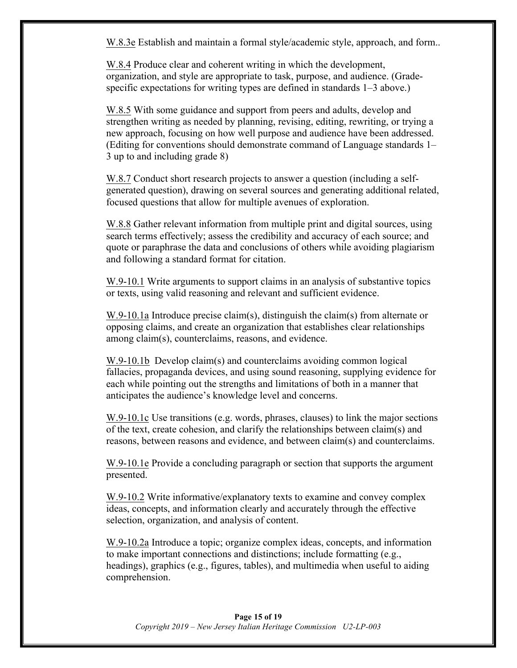W.8.3e Establish and maintain a formal style/academic style, approach, and form..

W.8.4 Produce clear and coherent writing in which the development, organization, and style are appropriate to task, purpose, and audience. (Gradespecific expectations for writing types are defined in standards 1–3 above.)

W.8.5 With some guidance and support from peers and adults, develop and strengthen writing as needed by planning, revising, editing, rewriting, or trying a new approach, focusing on how well purpose and audience have been addressed. (Editing for conventions should demonstrate command of Language standards 1– 3 up to and including grade 8)

W.8.7 Conduct short research projects to answer a question (including a selfgenerated question), drawing on several sources and generating additional related, focused questions that allow for multiple avenues of exploration.

W.8.8 Gather relevant information from multiple print and digital sources, using search terms effectively; assess the credibility and accuracy of each source; and quote or paraphrase the data and conclusions of others while avoiding plagiarism and following a standard format for citation.

W.9-10.1 Write arguments to support claims in an analysis of substantive topics or texts, using valid reasoning and relevant and sufficient evidence.

W.9-10.1a Introduce precise claim(s), distinguish the claim(s) from alternate or opposing claims, and create an organization that establishes clear relationships among claim(s), counterclaims, reasons, and evidence.

W.9-10.1b Develop claim(s) and counterclaims avoiding common logical fallacies, propaganda devices, and using sound reasoning, supplying evidence for each while pointing out the strengths and limitations of both in a manner that anticipates the audience's knowledge level and concerns.

W.9-10.1c Use transitions (e.g. words, phrases, clauses) to link the major sections of the text, create cohesion, and clarify the relationships between claim(s) and reasons, between reasons and evidence, and between claim(s) and counterclaims.

W.9-10.1e Provide a concluding paragraph or section that supports the argument presented.

W.9-10.2 Write informative/explanatory texts to examine and convey complex ideas, concepts, and information clearly and accurately through the effective selection, organization, and analysis of content.

W.9-10.2a Introduce a topic; organize complex ideas, concepts, and information to make important connections and distinctions; include formatting (e.g., headings), graphics (e.g., figures, tables), and multimedia when useful to aiding comprehension.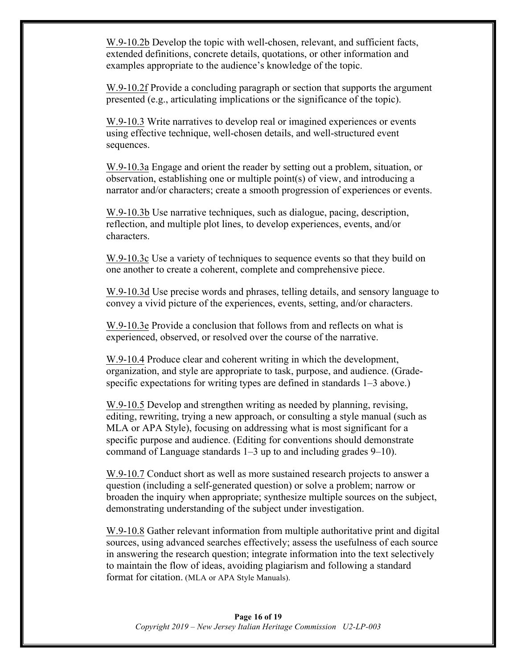W.9-10.2b Develop the topic with well-chosen, relevant, and sufficient facts, extended definitions, concrete details, quotations, or other information and examples appropriate to the audience's knowledge of the topic.

W.9-10.2f Provide a concluding paragraph or section that supports the argument presented (e.g., articulating implications or the significance of the topic).

W.9-10.3 Write narratives to develop real or imagined experiences or events using effective technique, well-chosen details, and well-structured event sequences.

W.9-10.3a Engage and orient the reader by setting out a problem, situation, or observation, establishing one or multiple point(s) of view, and introducing a narrator and/or characters; create a smooth progression of experiences or events.

W.9-10.3b Use narrative techniques, such as dialogue, pacing, description, reflection, and multiple plot lines, to develop experiences, events, and/or characters.

W.9-10.3c Use a variety of techniques to sequence events so that they build on one another to create a coherent, complete and comprehensive piece.

W.9-10.3d Use precise words and phrases, telling details, and sensory language to convey a vivid picture of the experiences, events, setting, and/or characters.

W.9-10.3e Provide a conclusion that follows from and reflects on what is experienced, observed, or resolved over the course of the narrative.

W.9-10.4 Produce clear and coherent writing in which the development, organization, and style are appropriate to task, purpose, and audience. (Gradespecific expectations for writing types are defined in standards 1–3 above.)

W.9-10.5 Develop and strengthen writing as needed by planning, revising, editing, rewriting, trying a new approach, or consulting a style manual (such as MLA or APA Style), focusing on addressing what is most significant for a specific purpose and audience. (Editing for conventions should demonstrate command of Language standards 1–3 up to and including grades 9–10).

W.9-10.7 Conduct short as well as more sustained research projects to answer a question (including a self-generated question) or solve a problem; narrow or broaden the inquiry when appropriate; synthesize multiple sources on the subject, demonstrating understanding of the subject under investigation.

W.9-10.8 Gather relevant information from multiple authoritative print and digital sources, using advanced searches effectively; assess the usefulness of each source in answering the research question; integrate information into the text selectively to maintain the flow of ideas, avoiding plagiarism and following a standard format for citation. (MLA or APA Style Manuals).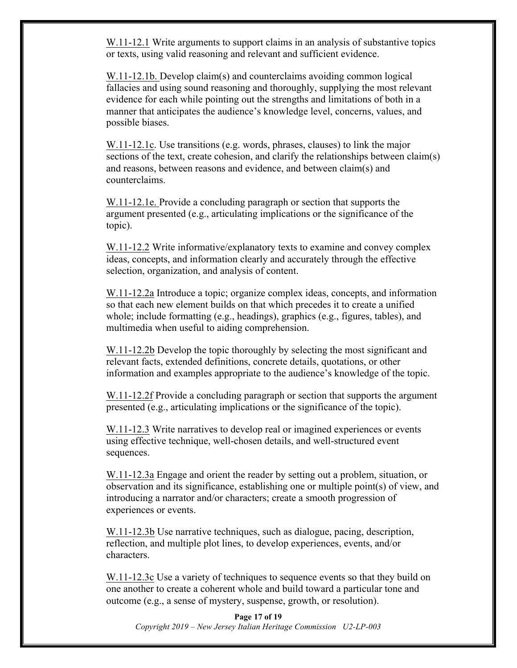W.11-12.1 Write arguments to support claims in an analysis of substantive topics or texts, using valid reasoning and relevant and sufficient evidence.

W.11-12.1b. Develop claim(s) and counterclaims avoiding common logical fallacies and using sound reasoning and thoroughly, supplying the most relevant evidence for each while pointing out the strengths and limitations of both in a manner that anticipates the audience's knowledge level, concerns, values, and possible biases.

W.11-12.1c. Use transitions (e.g. words, phrases, clauses) to link the major sections of the text, create cohesion, and clarify the relationships between claim(s) and reasons, between reasons and evidence, and between claim(s) and counterclaims.

W.11-12.1e. Provide a concluding paragraph or section that supports the argument presented (e.g., articulating implications or the significance of the topic).

W.11-12.2 Write informative/explanatory texts to examine and convey complex ideas, concepts, and information clearly and accurately through the effective selection, organization, and analysis of content.

W.11-12.2a Introduce a topic; organize complex ideas, concepts, and information so that each new element builds on that which precedes it to create a unified whole; include formatting (e.g., headings), graphics (e.g., figures, tables), and multimedia when useful to aiding comprehension.

W.11-12.2b Develop the topic thoroughly by selecting the most significant and relevant facts, extended definitions, concrete details, quotations, or other information and examples appropriate to the audience's knowledge of the topic.

W.11-12.2f Provide a concluding paragraph or section that supports the argument presented (e.g., articulating implications or the significance of the topic).

W.11-12.3 Write narratives to develop real or imagined experiences or events using effective technique, well-chosen details, and well-structured event sequences.

W.11-12.3a Engage and orient the reader by setting out a problem, situation, or observation and its significance, establishing one or multiple point(s) of view, and introducing a narrator and/or characters; create a smooth progression of experiences or events.

W.11-12.3b Use narrative techniques, such as dialogue, pacing, description, reflection, and multiple plot lines, to develop experiences, events, and/or characters.

W.11-12.3c Use a variety of techniques to sequence events so that they build on one another to create a coherent whole and build toward a particular tone and outcome (e.g., a sense of mystery, suspense, growth, or resolution).

**Page 17 of 19** *Copyright 2019 – New Jersey Italian Heritage Commission U2-LP-003*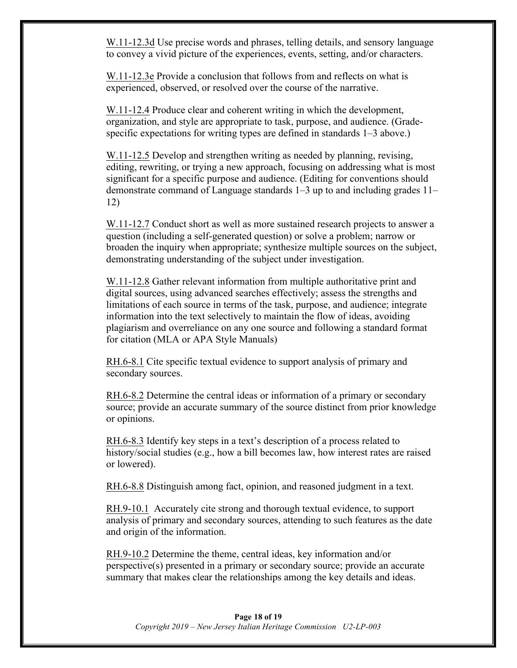W.11-12.3d Use precise words and phrases, telling details, and sensory language to convey a vivid picture of the experiences, events, setting, and/or characters.

W.11-12.3e Provide a conclusion that follows from and reflects on what is experienced, observed, or resolved over the course of the narrative.

W.11-12.4 Produce clear and coherent writing in which the development, organization, and style are appropriate to task, purpose, and audience. (Gradespecific expectations for writing types are defined in standards 1–3 above.)

W.11-12.5 Develop and strengthen writing as needed by planning, revising, editing, rewriting, or trying a new approach, focusing on addressing what is most significant for a specific purpose and audience. (Editing for conventions should demonstrate command of Language standards 1–3 up to and including grades 11– 12)

W.11-12.7 Conduct short as well as more sustained research projects to answer a question (including a self-generated question) or solve a problem; narrow or broaden the inquiry when appropriate; synthesize multiple sources on the subject, demonstrating understanding of the subject under investigation.

W.11-12.8 Gather relevant information from multiple authoritative print and digital sources, using advanced searches effectively; assess the strengths and limitations of each source in terms of the task, purpose, and audience; integrate information into the text selectively to maintain the flow of ideas, avoiding plagiarism and overreliance on any one source and following a standard format for citation (MLA or APA Style Manuals)

RH.6-8.1 Cite specific textual evidence to support analysis of primary and secondary sources.

RH.6-8.2 Determine the central ideas or information of a primary or secondary source; provide an accurate summary of the source distinct from prior knowledge or opinions.

RH.6-8.3 Identify key steps in a text's description of a process related to history/social studies (e.g., how a bill becomes law, how interest rates are raised or lowered).

RH.6-8.8 Distinguish among fact, opinion, and reasoned judgment in a text.

RH.9-10.1 Accurately cite strong and thorough textual evidence, to support analysis of primary and secondary sources, attending to such features as the date and origin of the information.

RH.9-10.2 Determine the theme, central ideas, key information and/or perspective(s) presented in a primary or secondary source; provide an accurate summary that makes clear the relationships among the key details and ideas.